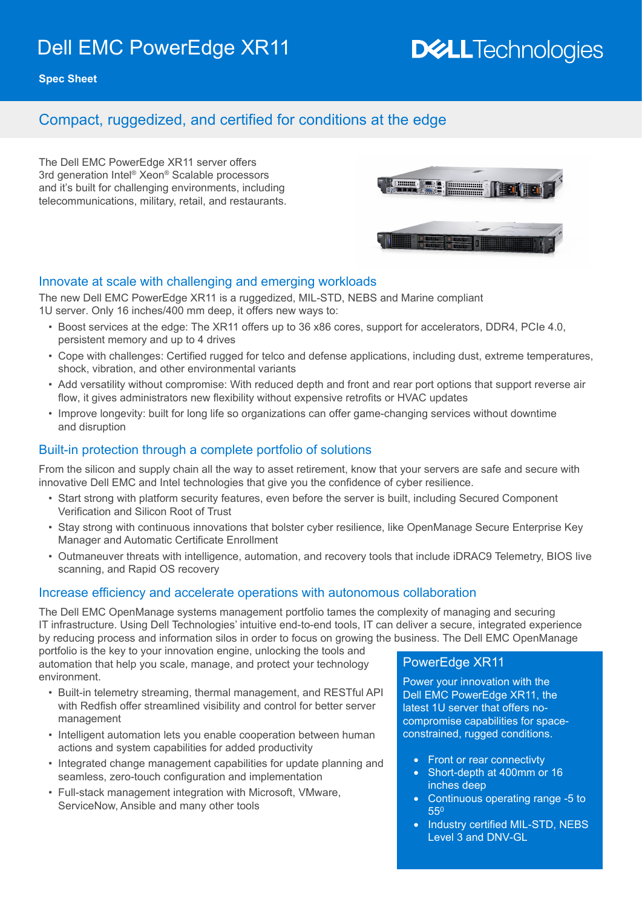# Dell EMC PowerEdge XR11

# **DELLTechnologies**

**Spec Sheet**

### Compact, ruggedized, and certified for conditions at the edge

The Dell EMC PowerEdge XR11 server offers 3rd generation Intel® Xeon® Scalable processors and it's built for challenging environments, including telecommunications, military, retail, and restaurants.



#### Innovate at scale with challenging and emerging workloads

The new Dell EMC PowerEdge XR11 is a ruggedized, MIL-STD, NEBS and Marine compliant 1U server. Only 16 inches/400 mm deep, it offers new ways to:

- Boost services at the edge: The XR11 offers up to 36 x86 cores, support for accelerators, DDR4, PCIe 4.0, persistent memory and up to 4 drives
- Cope with challenges: Certified rugged for telco and defense applications, including dust, extreme temperatures, shock, vibration, and other environmental variants
- Add versatility without compromise: With reduced depth and front and rear port options that support reverse air flow, it gives administrators new flexibility without expensive retrofits or HVAC updates
- Improve longevity: built for long life so organizations can offer game-changing services without downtime and disruption

#### Built-in protection through a complete portfolio of solutions

From the silicon and supply chain all the way to asset retirement, know that your servers are safe and secure with innovative Dell EMC and Intel technologies that give you the confidence of cyber resilience.

- Start strong with platform security features, even before the server is built, including Secured Component Verification and Silicon Root of Trust
- Stay strong with continuous innovations that bolster cyber resilience, like OpenManage Secure Enterprise Key Manager and Automatic Certificate Enrollment
- Outmaneuver threats with intelligence, automation, and recovery tools that include iDRAC9 Telemetry, BIOS live scanning, and Rapid OS recovery

#### Increase efficiency and accelerate operations with autonomous collaboration

The Dell EMC OpenManage systems management portfolio tames the complexity of managing and securing IT infrastructure. Using Dell Technologies' intuitive end-to-end tools, IT can deliver a secure, integrated experience by reducing process and information silos in order to focus on growing the business. The Dell EMC OpenManage

portfolio is the key to your innovation engine, unlocking the tools and automation that help you scale, manage, and protect your technology environment.

- Built-in telemetry streaming, thermal management, and RESTful API with Redfish offer streamlined visibility and control for better server management
- Intelligent automation lets you enable cooperation between human actions and system capabilities for added productivity
- Integrated change management capabilities for update planning and seamless, zero-touch configuration and implementation
- Full-stack management integration with Microsoft, VMware, ServiceNow, Ansible and many other tools

#### PowerEdge XR11

Power your innovation with the Dell EMC PowerEdge XR11, the latest 1U server that offers nocompromise capabilities for spaceconstrained, rugged conditions.

- Front or rear connectivty
- Short-depth at 400mm or 16 inches deep
- Continuous operating range -5 to 55<sup>0</sup>
- Industry certified MIL-STD, NEBS Level 3 and DNV-GL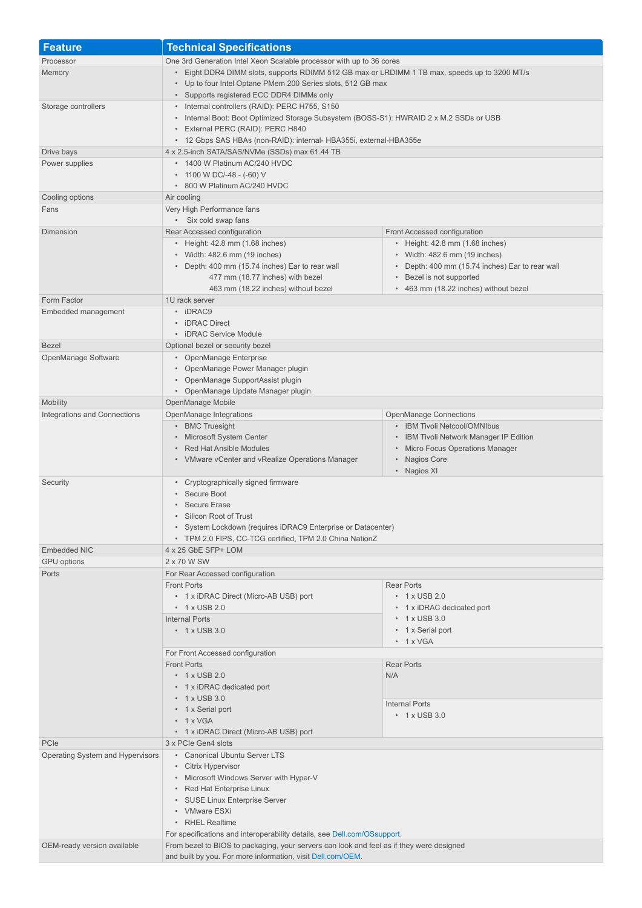| <b>Feature</b>                                  | <b>Technical Specifications</b>                                                                                                                                      |                                                                                  |
|-------------------------------------------------|----------------------------------------------------------------------------------------------------------------------------------------------------------------------|----------------------------------------------------------------------------------|
| Processor                                       | One 3rd Generation Intel Xeon Scalable processor with up to 36 cores                                                                                                 |                                                                                  |
| Memory                                          | • Eight DDR4 DIMM slots, supports RDIMM 512 GB max or LRDIMM 1 TB max, speeds up to 3200 MT/s                                                                        |                                                                                  |
|                                                 | • Up to four Intel Optane PMem 200 Series slots, 512 GB max                                                                                                          |                                                                                  |
|                                                 | • Supports registered ECC DDR4 DIMMs only                                                                                                                            |                                                                                  |
| Storage controllers                             | • Internal controllers (RAID): PERC H755, S150<br>• Internal Boot: Boot Optimized Storage Subsystem (BOSS-S1): HWRAID 2 x M.2 SSDs or USB                            |                                                                                  |
|                                                 | • External PERC (RAID): PERC H840                                                                                                                                    |                                                                                  |
|                                                 | • 12 Gbps SAS HBAs (non-RAID): internal- HBA355i, external-HBA355e                                                                                                   |                                                                                  |
| Drive bays                                      | 4 x 2.5-inch SATA/SAS/NVMe (SSDs) max 61.44 TB                                                                                                                       |                                                                                  |
| Power supplies                                  | • 1400 W Platinum AC/240 HVDC                                                                                                                                        |                                                                                  |
|                                                 | • 1100 W DC/-48 - (-60) V<br>• 800 W Platinum AC/240 HVDC                                                                                                            |                                                                                  |
| Cooling options                                 | Air cooling                                                                                                                                                          |                                                                                  |
| Fans                                            | Very High Performance fans                                                                                                                                           |                                                                                  |
|                                                 | • Six cold swap fans                                                                                                                                                 |                                                                                  |
| Dimension                                       | Rear Accessed configuration                                                                                                                                          | Front Accessed configuration                                                     |
|                                                 | • Height: 42.8 mm (1.68 inches)                                                                                                                                      | • Height: 42.8 mm (1.68 inches)                                                  |
|                                                 | • Width: 482.6 mm (19 inches)<br>• Depth: 400 mm (15.74 inches) Ear to rear wall                                                                                     | • Width: 482.6 mm (19 inches)<br>• Depth: 400 mm (15.74 inches) Ear to rear wall |
|                                                 | 477 mm (18.77 inches) with bezel                                                                                                                                     | Bezel is not supported                                                           |
|                                                 | 463 mm (18.22 inches) without bezel                                                                                                                                  | • 463 mm (18.22 inches) without bezel                                            |
| Form Factor                                     | 1U rack server                                                                                                                                                       |                                                                                  |
| Embedded management                             | • iDRAC9                                                                                                                                                             |                                                                                  |
|                                                 | • iDRAC Direct<br>• iDRAC Service Module                                                                                                                             |                                                                                  |
| <b>Bezel</b>                                    | Optional bezel or security bezel                                                                                                                                     |                                                                                  |
| OpenManage Software                             | • OpenManage Enterprise                                                                                                                                              |                                                                                  |
|                                                 | • OpenManage Power Manager plugin                                                                                                                                    |                                                                                  |
|                                                 | • OpenManage SupportAssist plugin                                                                                                                                    |                                                                                  |
|                                                 | • OpenManage Update Manager plugin                                                                                                                                   |                                                                                  |
| <b>Mobility</b><br>Integrations and Connections | OpenManage Mobile<br>OpenManage Integrations                                                                                                                         | <b>OpenManage Connections</b>                                                    |
|                                                 | • BMC Truesight                                                                                                                                                      | • IBM Tivoli Netcool/OMNIbus                                                     |
|                                                 | • Microsoft System Center                                                                                                                                            | • IBM Tivoli Network Manager IP Edition                                          |
|                                                 | • Red Hat Ansible Modules                                                                                                                                            | • Micro Focus Operations Manager                                                 |
|                                                 | • VMware vCenter and vRealize Operations Manager                                                                                                                     | • Nagios Core                                                                    |
|                                                 | • Cryptographically signed firmware                                                                                                                                  | • Nagios XI                                                                      |
| Security                                        | • Secure Boot                                                                                                                                                        |                                                                                  |
|                                                 | • Secure Erase                                                                                                                                                       |                                                                                  |
|                                                 | Silicon Root of Trust                                                                                                                                                |                                                                                  |
|                                                 | • System Lockdown (requires iDRAC9 Enterprise or Datacenter)                                                                                                         |                                                                                  |
| <b>Embedded NIC</b>                             | • TPM 2.0 FIPS, CC-TCG certified, TPM 2.0 China NationZ<br>4 x 25 GbE SFP+ LOM                                                                                       |                                                                                  |
| <b>GPU</b> options                              | 2 x 70 W SW                                                                                                                                                          |                                                                                  |
| Ports                                           | For Rear Accessed configuration                                                                                                                                      |                                                                                  |
|                                                 | <b>Front Ports</b>                                                                                                                                                   | <b>Rear Ports</b>                                                                |
|                                                 | • 1 x iDRAC Direct (Micro-AB USB) port                                                                                                                               | $\cdot$ 1 x USB 2.0                                                              |
|                                                 | $\cdot$ 1 x USB 2.0                                                                                                                                                  | • 1 x iDRAC dedicated port                                                       |
|                                                 | <b>Internal Ports</b><br>$\cdot$ 1 x USB 3.0                                                                                                                         | $\cdot$ 1 x USB 3.0<br>• 1 x Serial port                                         |
|                                                 |                                                                                                                                                                      | $\cdot$ 1 x VGA                                                                  |
|                                                 | For Front Accessed configuration                                                                                                                                     |                                                                                  |
|                                                 | <b>Front Ports</b>                                                                                                                                                   | <b>Rear Ports</b>                                                                |
|                                                 | $\cdot$ 1 x USB 2.0                                                                                                                                                  | N/A                                                                              |
|                                                 | • 1 x iDRAC dedicated port<br>$\cdot$ 1 x USB 3.0                                                                                                                    |                                                                                  |
|                                                 | • 1 x Serial port                                                                                                                                                    | <b>Internal Ports</b>                                                            |
|                                                 | $\cdot$ 1 x VGA                                                                                                                                                      | $\cdot$ 1 x USB 3.0                                                              |
|                                                 | • 1 x iDRAC Direct (Micro-AB USB) port                                                                                                                               |                                                                                  |
| PCIe                                            | 3 x PCIe Gen4 slots                                                                                                                                                  |                                                                                  |
| Operating System and Hypervisors                | • Canonical Ubuntu Server LTS                                                                                                                                        |                                                                                  |
|                                                 | • Citrix Hypervisor<br>• Microsoft Windows Server with Hyper-V<br>• Red Hat Enterprise Linux<br>• SUSE Linux Enterprise Server                                       |                                                                                  |
|                                                 |                                                                                                                                                                      |                                                                                  |
|                                                 |                                                                                                                                                                      |                                                                                  |
|                                                 | • VMware ESXi                                                                                                                                                        |                                                                                  |
|                                                 | • RHEL Realtime                                                                                                                                                      |                                                                                  |
| OEM-ready version available                     | For specifications and interoperability details, see Dell.com/OSsupport.<br>From bezel to BIOS to packaging, your servers can look and feel as if they were designed |                                                                                  |
|                                                 | and built by you. For more information, visit Dell.com/OEM.                                                                                                          |                                                                                  |